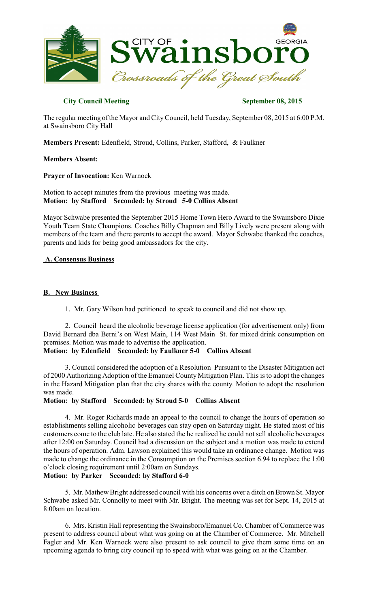

# **City Council Meeting September 08, 2015**

The regular meeting of the Mayor and CityCouncil, held Tuesday, September 08, 2015 at 6:00 P.M. at Swainsboro City Hall

**Members Present:** Edenfield, Stroud, Collins, Parker, Stafford, & Faulkner

#### **Members Absent:**

**Prayer of Invocation:** Ken Warnock

Motion to accept minutes from the previous meeting was made. **Motion: by Stafford Seconded: by Stroud 5-0 Collins Absent** 

Mayor Schwabe presented the September 2015 Home Town Hero Award to the Swainsboro Dixie Youth Team State Champions. Coaches Billy Chapman and Billy Lively were present along with members of the team and there parents to accept the award. Mayor Schwabe thanked the coaches, parents and kids for being good ambassadors for the city.

# **A. Consensus Business**

# **B. New Business**

1. Mr. Gary Wilson had petitioned to speak to council and did not show up.

2. Council heard the alcoholic beverage license application (for advertisement only) from David Bernard dba Berni's on West Main, 114 West Main St. for mixed drink consumption on premises. Motion was made to advertise the application.

# **Motion: by Edenfield Seconded: by Faulkner 5-0 Collins Absent**

3. Council considered the adoption of a Resolution Pursuant to the Disaster Mitigation act of 2000 Authorizing Adoption of the Emanuel CountyMitigation Plan. This isto adopt the changes in the Hazard Mitigation plan that the city shares with the county. Motion to adopt the resolution was made.

#### **Motion: by Stafford Seconded: by Stroud 5-0 Collins Absent**

4. Mr. Roger Richards made an appeal to the council to change the hours of operation so establishments selling alcoholic beverages can stay open on Saturday night. He stated most of his customers come to the club late. He also stated the he realized he could not sell alcoholic beverages after 12:00 on Saturday. Council had a discussion on the subject and a motion was made to extend the hours of operation. Adm. Lawson explained this would take an ordinance change. Motion was made to change the ordinance in the Consumption on the Premises section 6.94 to replace the 1:00 o'clock closing requirement until 2:00am on Sundays.

# **Motion: by Parker Seconded: by Stafford 6-0**

5. Mr. Mathew Bright addressed council with his concerns over a ditch on Brown St. Mayor Schwabe asked Mr. Connolly to meet with Mr. Bright. The meeting was set for Sept. 14, 2015 at 8:00am on location.

6. Mrs. Kristin Hall representing the Swainsboro/Emanuel Co. Chamber of Commerce was present to address council about what was going on at the Chamber of Commerce. Mr. Mitchell Fagler and Mr. Ken Warnock were also present to ask council to give them some time on an upcoming agenda to bring city council up to speed with what was going on at the Chamber.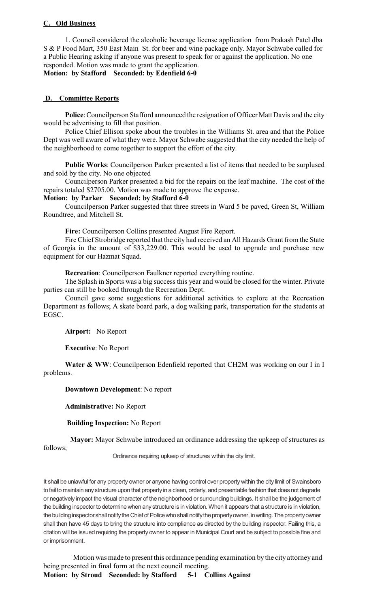# **C. Old Business**

1. Council considered the alcoholic beverage license application from Prakash Patel dba S & P Food Mart, 350 East Main St. for beer and wine package only. Mayor Schwabe called for a Public Hearing asking if anyone was present to speak for or against the application. No one responded. Motion was made to grant the application.

**Motion: by Stafford Seconded: by Edenfield 6-0**

# **D. Committee Reports**

Police: Councilperson Stafford announced the resignation of Officer Matt Davis and the city would be advertising to fill that position.

Police Chief Ellison spoke about the troubles in the Williams St. area and that the Police Dept was well aware of what they were. Mayor Schwabe suggested that the city needed the help of the neighborhood to come together to support the effort of the city.

**Public Works**: Councilperson Parker presented a list of items that needed to be surplused and sold by the city. No one objected

Councilperson Parker presented a bid for the repairs on the leaf machine. The cost of the repairs totaled \$2705.00. Motion was made to approve the expense.

# **Motion: by Parker Seconded: by Stafford 6-0**

Councilperson Parker suggested that three streets in Ward 5 be paved, Green St, William Roundtree, and Mitchell St.

**Fire:** Councilperson Collins presented August Fire Report.

Fire Chief Strobridge reported that the city had received an All Hazards Grant from the State of Georgia in the amount of \$33,229.00. This would be used to upgrade and purchase new equipment for our Hazmat Squad.

**Recreation**: Councilperson Faulkner reported everything routine.

The Splash in Sports was a big success this year and would be closed for the winter. Private parties can still be booked through the Recreation Dept.

Council gave some suggestions for additional activities to explore at the Recreation Department as follows; A skate board park, a dog walking park, transportation for the students at EGSC.

**Airport:** No Report

**Executive**: No Report

**Water & WW**: Councilperson Edenfield reported that CH2M was working on our I in I problems.

# **Downtown Development**: No report

**Administrative:** No Report

 **Building Inspection:** No Report

 **Mayor:** Mayor Schwabe introduced an ordinance addressing the upkeep of structures as follows;

Ordinance requiring upkeep of structures within the city limit.

It shall be unlawful for any property owner or anyone having control over property within the city limit of Swainsboro to fail to maintain any structure upon that property in a clean, orderly, and presentable fashion that does not degrade or negatively impact the visual character of the neighborhood or surrounding buildings. It shall be the judgement of the building inspectorto determine when any structure is in violation. When it appears that a structure is in violation, the building inspector shall notify the Chief of Police who shall notify the property owner, in writing. The property owner shall then have 45 days to bring the structure into compliance as directed by the building inspector. Failing this, a citation will be issued requiring the property owner to appear in Municipal Court and be subject to possible fine and or imprisonment.

Motion was made to present this ordinance pending examination by the city attorney and being presented in final form at the next council meeting.